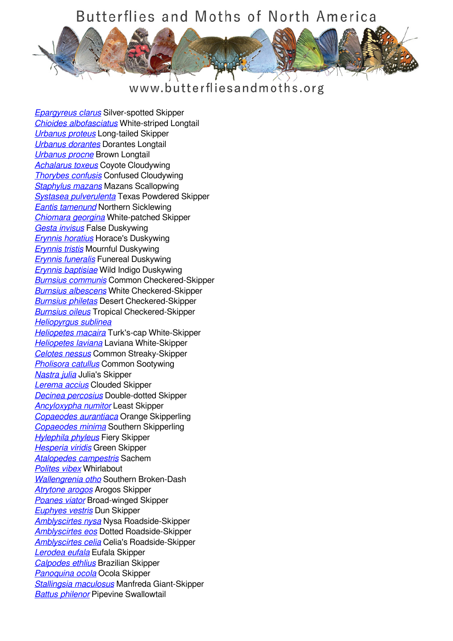

www.butterfliesandmoths.org

*[Epargyreus clarus](/species/Epargyreus-clarus)* Silver-spotted Skipper *[Chioides albofasciatus](/species/Chioides-albofasciatus)* White-striped Longtail *[Urbanus proteus](/species/Urbanus-proteus)* Long-tailed Skipper *[Urbanus dorantes](/species/Urbanus-dorantes)* Dorantes Longtail *[Urbanus procne](/species/Urbanus-procne)* Brown Longtail *[Achalarus toxeus](/species/Achalarus-toxeus)* Coyote Cloudywing *[Thorybes confusis](/species/Thorybes-confusis)* Confused Cloudywing *[Staphylus mazans](/species/Staphylus-mazans)* Mazans Scallopwing *[Systasea pulverulenta](/species/Systasea-pulverulenta)* Texas Powdered Skipper *[Eantis tamenund](/species/Eantis-tamenund)* Northern Sicklewing *[Chiomara georgina](/species/Chiomara-georgina)* White-patched Skipper *[Gesta invisus](/species/Gesta-invisus)* False Duskywing *[Erynnis horatius](/species/Erynnis-horatius)* Horace's Duskywing *[Erynnis tristis](/species/Erynnis-tristis)* Mournful Duskywing *[Erynnis funeralis](/species/Erynnis-funeralis)* Funereal Duskywing *[Erynnis baptisiae](/species/Erynnis-baptisiae)* Wild Indigo Duskywing *[Burnsius communis](/species/Pyrgus-communis)* Common Checkered-Skipper *[Burnsius albescens](/species/Pyrgus-albescens)* White Checkered-Skipper *[Burnsius philetas](/species/Pyrgus-philetas)* Desert Checkered-Skipper *[Burnsius oileus](/species/Pyrgus-oileus)* Tropical Checkered-Skipper *[Heliopyrgus sublinea](/species/Heliopyrgus-sublinea) [Heliopetes macaira](/species/Heliopetes-macaira)* Turk's-cap White-Skipper *[Heliopetes laviana](/species/Heliopetes-laviana)* Laviana White-Skipper *[Celotes nessus](/species/Celotes-nessus)* Common Streaky-Skipper *[Pholisora catullus](/species/Pholisora-catullus)* Common Sootywing *[Nastra julia](/species/Nastra-julia)* Julia's Skipper *[Lerema accius](/species/Lerema-accius)* Clouded Skipper *[Decinea percosius](/species/Decinea-percosius)* Double-dotted Skipper *[Ancyloxypha numitor](/species/Ancyloxypha-numitor)* Least Skipper *[Copaeodes aurantiaca](/species/Copaeodes-aurantiaca)* Orange Skipperling *[Copaeodes minima](/species/Copaeodes-minima)* Southern Skipperling *[Hylephila phyleus](/species/Hylephila-phyleus)* Fiery Skipper *[Hesperia viridis](/species/Hesperia-viridis)* Green Skipper *[Atalopedes campestris](/species/Atalopedes-campestris)* Sachem *[Polites vibex](/species/Polites-vibex)* Whirlabout *[Wallengrenia otho](/species/Wallengrenia-otho)* Southern Broken-Dash *[Atrytone arogos](/species/Atrytone-arogos)* Arogos Skipper *[Poanes viator](/species/Poanes-viator)* Broad-winged Skipper *[Euphyes vestris](/species/Euphyes-vestris)* Dun Skipper *[Amblyscirtes nysa](/species/Amblyscirtes-nysa)* Nysa Roadside-Skipper *[Amblyscirtes eos](/species/Amblyscirtes-eos)* Dotted Roadside-Skipper *[Amblyscirtes celia](/species/Amblyscirtes-celia)* Celia's Roadside-Skipper *[Lerodea eufala](/species/Lerodea-eufala)* Eufala Skipper *[Calpodes ethlius](/species/Calpodes-ethlius)* Brazilian Skipper *[Panoquina ocola](/species/Panoquina-ocola)* Ocola Skipper *[Stallingsia maculosus](/species/Stallingsia-maculosus)* Manfreda Giant-Skipper *[Battus philenor](/species/Battus-philenor)* Pipevine Swallowtail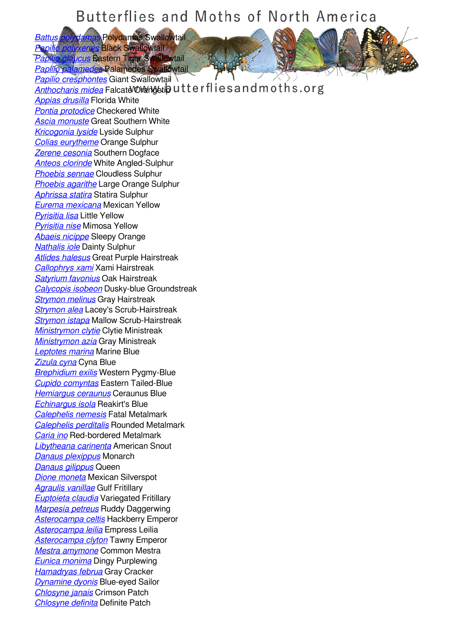*[Battus polydamas](/species/Battus-polydamas)* Polydamas Swallowtail *[Papilio polyxenes](/species/Papilio-polyxenes)* Black Swallowtail

*[Papilio glaucus](/species/Papilio-glaucus)* Eastern Tiger Swallowtail *[Papilio palamedes](/species/Papilio-palamedes)* Palamedes Swallowtail

*[Papilio cresphontes](/species/Papilio-cresphontes)* Giant Swallowtail *[Anthocharis midea](/species/Anthocharis-midea)* Falcate Orangetip utterflies and moths.org *[Appias drusilla](/species/Appias-drusilla)* Florida White *[Pontia protodice](/species/Pontia-protodice)* Checkered White *[Ascia monuste](/species/Ascia-monuste)* Great Southern White *[Kricogonia lyside](/species/Kricogonia-lyside)* Lyside Sulphur *[Colias eurytheme](/species/Colias-eurytheme)* Orange Sulphur *[Zerene cesonia](/species/Zerene-cesonia)* Southern Dogface *[Anteos clorinde](/species/Anteos-clorinde)* White Angled-Sulphur *[Phoebis sennae](/species/Phoebis-sennae)* Cloudless Sulphur *[Phoebis agarithe](/species/Phoebis-agarithe)* Large Orange Sulphur *[Aphrissa statira](/species/Aphrissa-statira)* Statira Sulphur *[Eurema mexicana](/species/Eurema-mexicana)* Mexican Yellow *[Pyrisitia lisa](/species/Pyrisitia-lisa)* Little Yellow *[Pyrisitia nise](/species/Pyrisitia-nise)* Mimosa Yellow *[Abaeis nicippe](/species/Abaeis-nicippe)* Sleepy Orange *[Nathalis iole](/species/Nathalis-iole)* Dainty Sulphur *[Atlides halesus](/species/Atlides-halesus)* Great Purple Hairstreak *[Callophrys xami](/species/Callophrys-xami)* Xami Hairstreak *[Satyrium favonius](/species/Satyrium-favonius)* Oak Hairstreak *[Calycopis isobeon](/species/Calycopis-isobeon)* Dusky-blue Groundstreak *[Strymon melinus](/species/Strymon-melinus)* Gray Hairstreak *[Strymon alea](/species/Strymon-alea)* Lacey's Scrub-Hairstreak *[Strymon istapa](/species/Strymon-istapa)* Mallow Scrub-Hairstreak *[Ministrymon clytie](/species/Ministrymon-clytie)* Clytie Ministreak *[Ministrymon azia](/species/Ministrymon-azia)* Gray Ministreak *[Leptotes marina](/species/Leptotes-marina)* Marine Blue *[Zizula cyna](/species/Zizula-cyna)* Cyna Blue *[Brephidium exilis](/species/Brephidium-exilis)* Western Pygmy-Blue *[Cupido comyntas](/species/Cupido-comyntas)* Eastern Tailed-Blue *[Hemiargus ceraunus](/species/Hemiargus-ceraunus)* Ceraunus Blue *[Echinargus isola](/species/Echinargus-isola)* Reakirt's Blue *[Calephelis nemesis](/species/Calephelis-nemesis)* Fatal Metalmark *[Calephelis perditalis](/species/Calephelis-perditalis)* Rounded Metalmark *[Caria ino](/species/Caria-ino)* Red-bordered Metalmark *[Libytheana carinenta](/species/Libytheana-carinenta)* American Snout *[Danaus plexippus](/species/Danaus-plexippus)* Monarch *[Danaus gilippus](/species/Danaus-gilippus)* Queen *[Dione moneta](/species/Dione-moneta)* Mexican Silverspot *[Agraulis vanillae](/species/Agraulis-vanillae)* Gulf Fritillary *[Euptoieta claudia](/species/Euptoieta-claudia)* Variegated Fritillary *[Marpesia petreus](/species/Marpesia-petreus)* Ruddy Daggerwing *[Asterocampa celtis](/species/Asterocampa-celtis)* Hackberry Emperor *[Asterocampa leilia](/species/Asterocampa-leilia)* Empress Leilia *[Asterocampa clyton](/species/Asterocampa-clyton)* Tawny Emperor *[Mestra amymone](/species/Mestra-amymone)* Common Mestra *[Eunica monima](/species/Eunica-monima)* Dingy Purplewing *[Hamadryas februa](/species/Hamadryas-februa)* Gray Cracker *[Dynamine dyonis](/species/Dynamine-dyonis)* Blue-eyed Sailor *[Chlosyne janais](/species/Chlosyne-janais)* Crimson Patch *[Chlosyne definita](/species/Chlosyne-definita)* Definite Patch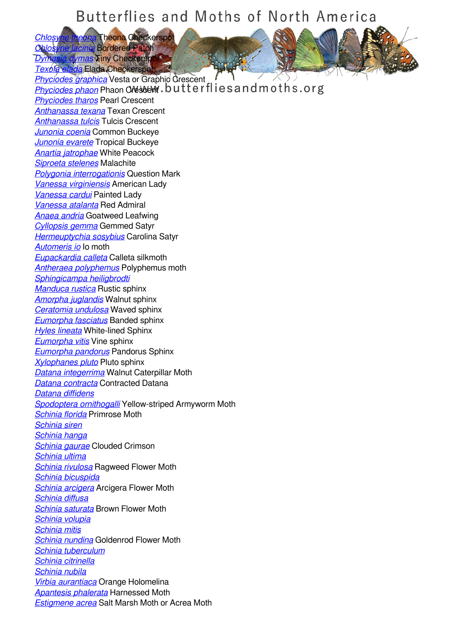**[Chlosyne theona](/species/Chlosyne-theona)** Theona Checkerspot *[Chlosyne lacinia](/species/Chlosyne-lacinia)* Bordered Patch **dymas Tiny Checkerspot** 

*[Texola elada](/species/Texola-elada)* Elada Checkerspot *[Phyciodes graphica](/species/Phyciodes-graphica)* Vesta or Graphic Crescent **[Phyciodes phaon](/species/Phyciodes-phaon) Phaon Crester W. butterflies and moths.org** *[Phyciodes tharos](/species/Phyciodes-tharos)* Pearl Crescent *[Anthanassa texana](/species/Anthanassa-texana)* Texan Crescent *[Anthanassa tulcis](/species/Anthanassa-tulcis)* Tulcis Crescent *[Junonia coenia](/species/Junonia-coenia)* Common Buckeye *[Junonia evarete](/species/Junonia-evarete)* Tropical Buckeye *[Anartia jatrophae](/species/Anartia-jatrophae)* White Peacock *[Siproeta stelenes](/species/Siproeta-stelenes)* Malachite *[Polygonia interrogationis](/species/Polygonia-interrogationis)* Question Mark *[Vanessa virginiensis](/species/Vanessa-virginiensis)* American Lady *[Vanessa cardui](/species/Vanessa-cardui)* Painted Lady *[Vanessa atalanta](/species/Vanessa-atalanta)* Red Admiral *[Anaea andria](/species/Anaea-andria)* Goatweed Leafwing *[Cyllopsis gemma](/species/Cyllopsis-gemma)* Gemmed Satyr *[Hermeuptychia sosybius](/species/Hermeuptychia-sosybius)* Carolina Satyr *[Automeris io](/species/Automeris-io)* Io moth *[Eupackardia calleta](/species/Eupackardia-calleta)* Calleta silkmoth *[Antheraea polyphemus](/species/Antheraea-polyphemus)* Polyphemus moth *[Sphingicampa heiligbrodti](/species/Sphingicampa-heiligbrodti) [Manduca rustica](/species/Manduca-rustica)* Rustic sphinx *[Amorpha juglandis](/species/Amorpha-juglandis)* Walnut sphinx *[Ceratomia undulosa](/species/Ceratomia-undulosa)* Waved sphinx *[Eumorpha fasciatus](/species/Eumorpha-fasciatus)* Banded sphinx *[Hyles lineata](/species/Hyles-lineata)* White-lined Sphinx *[Eumorpha vitis](/species/Eumorpha-vitis)* Vine sphinx *[Eumorpha pandorus](/species/Eumorpha-pandorus)* Pandorus Sphinx *[Xylophanes pluto](/species/Xylophanes-pluto)* Pluto sphinx *[Datana integerrima](/species/Datana-integerrima)* Walnut Caterpillar Moth *[Datana contracta](/species/Datana-contracta)* Contracted Datana *[Datana diffidens](/species/Datana-diffidens) [Spodoptera ornithogalli](/species/Spodoptera-ornithogalli)* Yellow-striped Armyworm Moth *[Schinia florida](/species/Schinia-florida)* Primrose Moth *[Schinia siren](/species/Schinia-siren) [Schinia hanga](/species/Schinia-hanga) [Schinia gaurae](/species/Schinia-gaurae)* Clouded Crimson *[Schinia ultima](/species/Schinia-ultima) [Schinia rivulosa](/species/Schinia-rivulosa)* Ragweed Flower Moth *[Schinia bicuspida](/species/Schinia-bicuspida) [Schinia arcigera](/species/Schinia-arcigera)* Arcigera Flower Moth *[Schinia diffusa](/species/Schinia-diffusa) [Schinia saturata](/species/Schinia-saturata)* Brown Flower Moth *[Schinia volupia](/species/Schinia-volupia) [Schinia mitis](/species/Schinia-mitis) [Schinia nundina](/species/Schinia-nundina)* Goldenrod Flower Moth *[Schinia tuberculum](/species/Schinia-tuberculum) [Schinia citrinella](/species/Schinia-citrinella) [Schinia nubila](/species/Schinia-nubila) [Virbia aurantiaca](/species/Virbia-aurantiaca)* Orange Holomelina *[Apantesis phalerata](/species/Apantesis-phalerata)* Harnessed Moth *[Estigmene acrea](/species/Estigmene-acrea)* Salt Marsh Moth or Acrea Moth